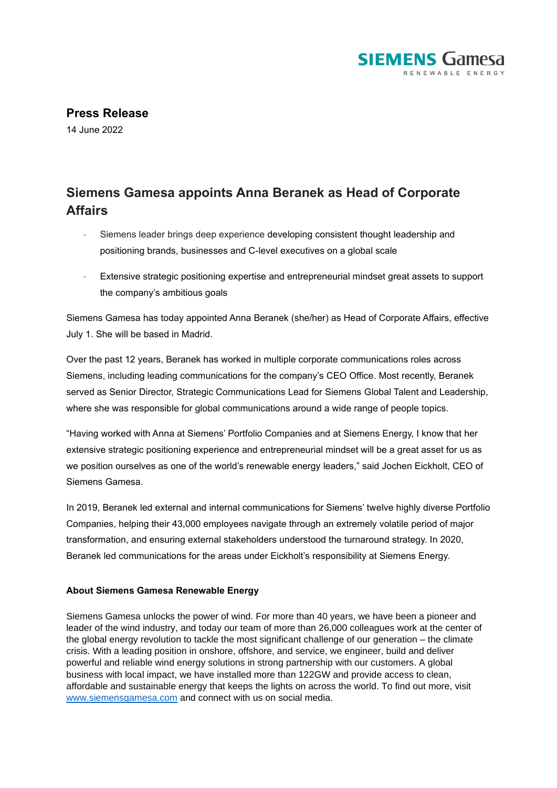

**Press Release**

14 June 2022

## **Siemens Gamesa appoints Anna Beranek as Head of Corporate Affairs**

- Siemens leader brings deep experience developing consistent thought leadership and positioning brands, businesses and C-level executives on a global scale
- Extensive strategic positioning expertise and entrepreneurial mindset great assets to support the company's ambitious goals

Siemens Gamesa has today appointed Anna Beranek (she/her) as Head of Corporate Affairs, effective July 1. She will be based in Madrid.

Over the past 12 years, Beranek has worked in multiple corporate communications roles across Siemens, including leading communications for the company's CEO Office. Most recently, Beranek served as Senior Director, Strategic Communications Lead for Siemens Global Talent and Leadership, where she was responsible for global communications around a wide range of people topics.

"Having worked with Anna at Siemens' Portfolio Companies and at Siemens Energy, I know that her extensive strategic positioning experience and entrepreneurial mindset will be a great asset for us as we position ourselves as one of the world's renewable energy leaders," said Jochen Eickholt, CEO of Siemens Gamesa.

In 2019, Beranek led external and internal communications for Siemens' twelve highly diverse Portfolio Companies, helping their 43,000 employees navigate through an extremely volatile period of major transformation, and ensuring external stakeholders understood the turnaround strategy. In 2020, Beranek led communications for the areas under Eickholt's responsibility at Siemens Energy.

## **About Siemens Gamesa Renewable Energy**

Siemens Gamesa unlocks the power of wind. For more than 40 years, we have been a pioneer and leader of the wind industry, and today our team of more than 26,000 colleagues work at the center of the global energy revolution to tackle the most significant challenge of our generation – the climate crisis. With a leading position in onshore, offshore, and service, we engineer, build and deliver powerful and reliable wind energy solutions in strong partnership with our customers. A global business with local impact, we have installed more than 122GW and provide access to clean, affordable and sustainable energy that keeps the lights on across the world. To find out more, visit [www.siemensgamesa.com](http://www.siemensgamesa.com/) and connect with us on social media.